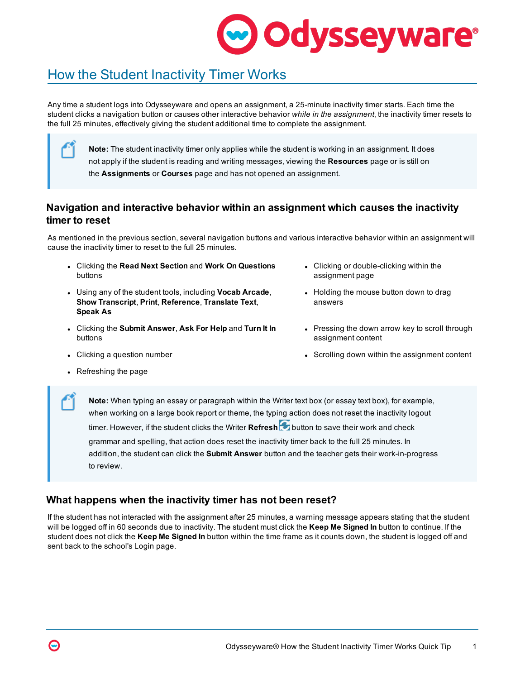# **Odysseyware**®

## How the Student Inactivity Timer Works

Any time a student logs into Odysseyware and opens an assignment, a 25-minute inactivity timer starts. Each time the student clicks a navigation button or causes other interactive behavior *while in the assignment*, the inactivity timer resets to the full 25 minutes, effectively giving the student additional time to complete the assignment.

**Note:** The student inactivity timer only applies while the student is working in an assignment. It does not apply if the student is reading and writing messages, viewing the **Resources** page or is still on the **Assignments** or **Courses** page and has not opened an assignment.

### **Navigation and interactive behavior within an assignment which causes the inactivity timer to reset**

As mentioned in the previous section, several navigation buttons and various interactive behavior within an assignment will cause the inactivity timer to reset to the full 25 minutes.

- <sup>l</sup> Clicking the **Read Next Section** and **Work On Questions** buttons
- <sup>l</sup> Using any of the student tools, including **Vocab Arcade**, **Show Transcript**, **Print**, **Reference**, **Translate Text**, **Speak As**
- <sup>l</sup> Clicking the **Submit Answer**, **Ask For Help** and **Turn It In** buttons
- 
- Clicking or double-clicking within the assignment page
- Holding the mouse button down to drag answers
- Pressing the down arrow key to scroll through assignment content
- Clicking a question number l Scrolling down within the assignment content
- Refreshing the page

**Note:** When typing an essay or paragraph within the Writer text box (or essay text box), for example, when working on a large book report or theme, the typing action does not reset the inactivity logout timer. However, if the student clicks the Writer **Refresh button to save their work and check** grammar and spelling, that action does reset the inactivity timer back to the full 25 minutes. In addition, the student can click the **Submit Answer** button and the teacher gets their work-in-progress to review.

### **What happens when the inactivity timer has not been reset?**

If the student has not interacted with the assignment after 25 minutes, a warning message appears stating that the student will be logged off in 60 seconds due to inactivity. The student must click the **Keep Me Signed In** button to continue. If the student does not click the **Keep Me Signed In** button within the time frame as it counts down, the student is logged off and sent back to the school's Login page.